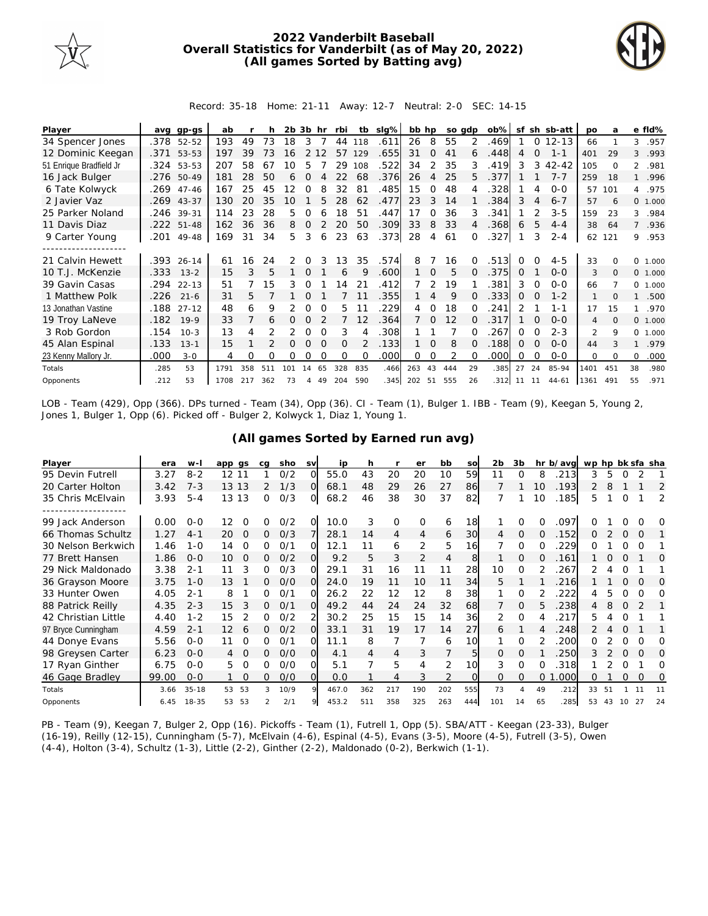

## **2022 Vanderbilt Baseball Overall Statistics for Vanderbilt (as of May 20, 2022) (All games Sorted by Batting avg)**



Record: 35-18 Home: 21-11 Away: 12-7 Neutral: 2-0 SEC: 14-15

| Player                  | ava  | $qp-GS$    | ab   |     |     | 2b 3b |                | hr       | rbi      | tb       | slg% | bb hp   |                |     | so adp   | $ob\%$  | sf       |          | sh sb-att | po             | a        |                | e fld%   |
|-------------------------|------|------------|------|-----|-----|-------|----------------|----------|----------|----------|------|---------|----------------|-----|----------|---------|----------|----------|-----------|----------------|----------|----------------|----------|
| 34 Spencer Jones        | .378 | $52 - 52$  | 193  | 49  | 73  | 18    | 3              |          | 44       | 118      | .611 | 26      | 8              | 55  | 2        | .469    |          | $\Omega$ | $12 - 13$ | 66             |          | 3              | .957     |
| 12 Dominic Keegan       |      | .371 53-53 | 197  | 39  | 73  | 16    |                |          | 57       | 129      | .655 | 31      | $\Omega$       | 41  | 6        | .448    | 4        | $\Omega$ | $1 - 1$   | 401            | 29       | 3              | .993     |
| 51 Enrique Bradfield Jr | .324 | 53-53      | 207  | 58  | 67  | 10    | 5              |          | 29       | 108      | .522 | 34      | 2              | 35  | 3        | 419     | 3        | 3        | $42 - 42$ | 105            | $\Omega$ | $\overline{2}$ | .981     |
| 16 Jack Bulger          | .276 | 50-49      | 181  | 28  | 50  | 6     | $\Omega$       | Δ        | 22       | 68       | .376 | 26      | $\overline{4}$ | 25  | 5.       | .377    |          |          | $7 - 7$   | 259            | 18       |                | .996     |
| 6 Tate Kolwyck          | .269 | $47 - 46$  | 167  | 25  | 45  | 12    | 0              |          | 32       | 81       | .485 | 15      | 0              | 48  |          | .328    |          | 4        | $0 - 0$   |                | 57 101   |                | 4 .975   |
| 2 Javier Vaz            | .269 | $43 - 37$  | 130  | 20  | 35  | 10    |                | 5        | 28       | 62       | .477 | 23      | 3              | 14  |          | 384     | 3        | 4        | $6 - 7$   | 57             | 6        |                | 0 1.000  |
| 25 Parker Noland        | .246 | 39-31      | 114  | 23  | 28  | 5.    | 0              | 6        | 18       | 51       | .447 | 17      | <sup>o</sup>   | 36  |          | .341    |          |          | $3 - 5$   | 159            | 23       | 3              | .984     |
| 11 Davis Diaz           |      | .222 51-48 | 162  | 36  | 36  | 8     | $\Omega$       |          | 20       | 50       | .309 | 33      | 8              | 33  |          | .368    | 6        | 5        | $4 - 4$   | 38             | 64       | $7^{\circ}$    | .936     |
| 9 Carter Young          | .201 | 49-48      | 169  | 31  | 34  | 5     | 3              | 6        | 23       | 63       | .373 | 28      | 4              | 61  |          | .327    |          | 3        | $2 - 4$   | 62             | 121      | 9              | .953     |
|                         |      |            |      |     |     |       |                |          |          |          |      |         |                |     |          |         |          |          |           |                |          |                |          |
| 21 Calvin Hewett        |      | .393 26-14 | 61   | 16  | 24  | 2     | 0              |          | 13       | 35       | .574 | 8       |                | 16  |          | 513     |          |          | $4 - 5$   | 33             |          | $\Omega$       | 1.000    |
| 10 T.J. McKenzie        | .333 | $13 - 2$   | 15   | 3   | 5   |       | $\Omega$       |          | 6        | Q        | .600 |         | 0              | 5   | $\Omega$ | .375    | $\Omega$ |          | $O-O$     | 3              | $\Omega$ |                | 0 1.000  |
| 39 Gavin Casas          | .294 | $22 - 13$  | 51   |     | 15  | 3     | $\Omega$       |          | 4        | 21       | .412 |         | 2              | 19  |          | .381    | 3        | $\Omega$ | $0 - 0$   | 66             |          |                | 0, 1,000 |
| 1 Matthew Polk          | .226 | $21 - 6$   | 31   | 5.  |     |       |                |          |          |          | .355 |         | 4              | 9   |          | .333    | 0        | $\Omega$ | $1 - 2$   | 1              |          |                | .500     |
| 13 Jonathan Vastine     | .188 | $27 - 12$  | 48   | 6   | 9   |       | 0              |          | 5        |          | 229  | 4       | 0              | 18  |          | 241     |          |          | $1 - 1$   | 17             | 15       |                | .970     |
| 19 Troy LaNeve          | .182 | $19-9$     | 33   | 7   | 6   | 0     | $\Omega$       |          |          | 12       | .364 |         | $\Omega$       | 12  | 0        | 317     |          | $\Omega$ | $O-O$     | 4              | $\Omega$ |                | 0 1.000  |
| 3 Rob Gordon            | .154 | $10-3$     | 13   | 4   |     | 2     | 0              |          | 3        |          | .308 |         |                |     |          | 267     | 0        |          | $2 - 3$   | $\mathfrak{D}$ | 9        | $\Omega$       | 1.000    |
| 45 Alan Espinal         | .133 | $13 - 1$   | 15   |     |     | O     | $\Omega$       |          | $\Omega$ |          | .133 |         | $\Omega$       | 8   |          | .188    | $\Omega$ | $\Omega$ | $O-O$     | 44             |          |                | .979     |
| 23 Kenny Mallory Jr.    | .000 | $3 - 0$    | 4    | 0   | Ω   | Ω     | Ω              | $\Omega$ | $\Omega$ | $\Omega$ | .000 | $\circ$ | 0              | 2   |          | .000    | O        | $\Omega$ | $0 - 0$   | $\Omega$       | $\Omega$ | $\Omega$       | .000     |
| Totals                  | .285 | 53         | 1791 | 358 | 511 | 101   | 14             | 65       | 328      | 835      | .466 | 263     | 43             | 444 | 29       | .385    | 27       | 24       | 85-94     | 1401           | 451      | 38             | .980     |
| Opponents               | .212 | 53         | 1708 | 217 | 362 | 73    | $\overline{4}$ | 49       | 204      | 590      | .345 | 202     | 51             | 555 | 26       | .312 11 |          | 11       | $44 - 61$ | 1361           | 491      | 55             | .971     |

LOB - Team (429), Opp (366). DPs turned - Team (34), Opp (36). CI - Team (1), Bulger 1. IBB - Team (9), Keegan 5, Young 2, Jones 1, Bulger 1, Opp (6). Picked off - Bulger 2, Kolwyck 1, Diaz 1, Young 1.

| Player              | era   | $W -$     | app qs         | ca            | sho  | <b>SV</b> | ip    | h   |                | er       | bb             | SO       | 2 <sub>b</sub> | 3b       |          | hr b/avg | wp hp bk sfa sha |    |          |          |    |
|---------------------|-------|-----------|----------------|---------------|------|-----------|-------|-----|----------------|----------|----------------|----------|----------------|----------|----------|----------|------------------|----|----------|----------|----|
| 95 Devin Futrell    | 3.27  | $8 - 2$   | 12 11          |               | O/2  | $\Omega$  | 55.0  | 43  | 20             | 20       | 10             | 59       | 11             | 0        | 8        | 213      | 3                | 5  | 0        |          |    |
| 20 Carter Holton    | 3.42  | $7 - 3$   | 13 13          | $\mathcal{P}$ | 1/3  | Ω         | 68.1  | 48  | 29             | 26       | 27             | 86       |                |          | 10       | .193     |                  | 8  |          |          | 2  |
| 35 Chris McElvain   | 3.93  | $5 - 4$   | 13 13          | 0             | O/3  | O.        | 68.2  | 46  | 38             | 30       | 37             | 82       |                |          | 10       | .185     | 5                |    | $\Omega$ |          | 2  |
|                     |       |           |                |               |      |           |       |     |                |          |                |          |                |          |          |          |                  |    |          |          |    |
| 99 Jack Anderson    | 0.00  | $O-O$     | 12<br>0        | 0             | O/2  | $\Omega$  | 10.0  | 3   | 0              | $\Omega$ | 6              | 18       |                | $\Omega$ | 0        | .097     |                  |    |          |          | O  |
| 66 Thomas Schultz   | 1.27  | $4 - 1$   | 20<br>0        | 0             | O/3  |           | 28.1  | 14  | $\overline{4}$ | 4        | 6              | 30       | 4              | 0        | $\Omega$ | .152     | Ω                |    | 0        | $\Omega$ |    |
| 30 Nelson Berkwich  | 1.46  | $1 - 0$   | $\Omega$<br>14 | 0             | 0/1  | Ω         | 12.1  | 11  | 6              | 2        | 5              | 16       |                | $\Omega$ |          | 229      | ი                |    | O        | $\Omega$ |    |
| 77 Brett Hansen     | 1.86  | $O - O$   | 0<br>10        | 0             | O/2  | O.        | 9.2   | 5   | 3              | 2        | $\overline{4}$ | 8        |                | 0        | 0        | .161     |                  | O  | Ω        |          | 0  |
| 29 Nick Maldonado   | 3.38  | $2 - 1$   | 3<br>11        | 0             | 0/3  | ∩         | 29.1  | 31  | 16             |          | 11             | 28       | 10             | $\Omega$ |          | 267      |                  |    |          |          |    |
| 36 Grayson Moore    | 3.75  | $1 - 0$   | 13             | 0             | O/O  | $\Omega$  | 24.0  | 19  | 11             | 10       | 11             | 34       | 5              |          |          | 216      |                  |    | Ω        | Ω        | O  |
| 33 Hunter Owen      | 4.05  | $2 - 1$   | 8              | 0             | 0/1  | $\Omega$  | 26.2  | 22  | 12             | 12       | 8              | 38       |                | $\Omega$ | 2        | 222      | 4                |    | O        | $\Omega$ | Ω  |
| 88 Patrick Reilly   | 4.35  | $2 - 3$   | 3<br>15        | 0             | O/1  | $\Omega$  | 49.2  | 44  | 24             | 24       | 32             | 68       |                | 0        | 5.       | 238      | 4                | 8  | 0        |          |    |
| 42 Christian Little | 4.40  | $1 - 2$   | 15             | 0             | 0/2  |           | 30.2  | 25  | 15             | 15       | 14             | 36       | 2              | $\Omega$ |          | 217      | 5                |    | O        |          |    |
| 97 Bryce Cunningham | 4.59  | $2 - 1$   | 12<br>6        | 0             | 0/2  | $\Omega$  | 33.1  | 31  | 19             | 17       | 14             | 27       | 6              |          |          | 248      |                  |    | $\Omega$ |          |    |
| 44 Donye Evans      | 5.56  | $0 - 0$   | 11<br>0        | 0             | 0/1  | Ω         | 11.1  | 8   |                |          | 6              | 10       |                | $\Omega$ |          | 200      | Ω                |    | 0        | O        | O  |
| 98 Greysen Carter   | 6.23  | $O - O$   | O<br>4         | 0             | O/O  | O.        | 4.1   | 4   | 4              | 3        |                | 5        | 0              | $\Omega$ |          | 250      | 3                |    | 0        | $\Omega$ | 0  |
| 17 Ryan Ginther     | 6.75  | $0 - 0$   | 5<br>0         | Ω             | O/O  | O         | 5.1   |     | 5              | 4        | 2              | 10       | 3              | $\Omega$ | $\Omega$ | 318      |                  |    | Ω        |          | O  |
| 46 Gage Bradley     | 99.00 | $0 - 0$   | $\Omega$       | 0             | O/O  | $\Omega$  | 0.0   |     | 4              | 3        | 2              | $\Omega$ | $\Omega$       | $\Omega$ | 0        | .000     | Ο                |    | Ω        | $\Omega$ | 0  |
| Totals              | 3.66  | $35 - 18$ | 53<br>53       | 3             | 10/9 | $\circ$   | 467.0 | 362 | 217            | 190      | 202            | 555      | 73             | 4        | 49       | .212     | 33               | 51 |          |          | 11 |
| Opponents           | 6.45  | 18-35     | 53<br>53       |               | 2/1  |           | 453.2 | 511 | 358            | 325      | 263            | 444      | 101            | 14       | 65       | 285      | 53               | 43 | 10       | 27       | 24 |

**(All games Sorted by Earned run avg)**

PB - Team (9), Keegan 7, Bulger 2, Opp (16). Pickoffs - Team (1), Futrell 1, Opp (5). SBA/ATT - Keegan (23-33), Bulger (16-19), Reilly (12-15), Cunningham (5-7), McElvain (4-6), Espinal (4-5), Evans (3-5), Moore (4-5), Futrell (3-5), Owen (4-4), Holton (3-4), Schultz (1-3), Little (2-2), Ginther (2-2), Maldonado (0-2), Berkwich (1-1).